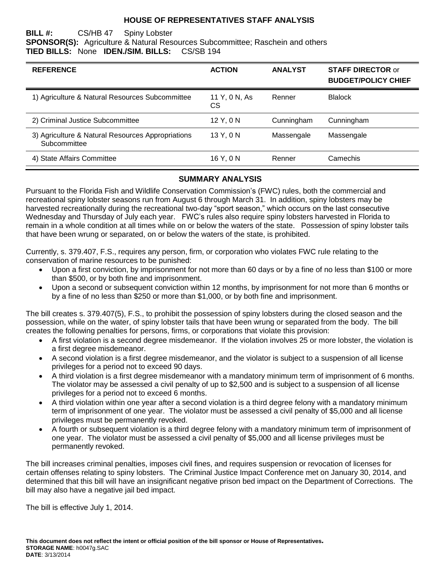#### **HOUSE OF REPRESENTATIVES STAFF ANALYSIS**

#### **BILL #:** CS/HB 47 Spiny Lobster **SPONSOR(S):** Agriculture & Natural Resources Subcommittee; Raschein and others **TIED BILLS:** None **IDEN./SIM. BILLS:** CS/SB 194

| <b>REFERENCE</b>                                                  | <b>ACTION</b>       | <b>ANALYST</b> | <b>STAFF DIRECTOR or</b><br><b>BUDGET/POLICY CHIEF</b> |
|-------------------------------------------------------------------|---------------------|----------------|--------------------------------------------------------|
| 1) Agriculture & Natural Resources Subcommittee                   | 11 Y, 0 N, As<br>СS | Renner         | <b>Blalock</b>                                         |
| 2) Criminal Justice Subcommittee                                  | 12 Y, 0 N           | Cunningham     | Cunningham                                             |
| 3) Agriculture & Natural Resources Appropriations<br>Subcommittee | 13 Y, 0 N           | Massengale     | Massengale                                             |
| 4) State Affairs Committee                                        | 16 Y, 0 N           | Renner         | Camechis                                               |

#### **SUMMARY ANALYSIS**

Pursuant to the Florida Fish and Wildlife Conservation Commission's (FWC) rules, both the commercial and recreational spiny lobster seasons run from August 6 through March 31. In addition, spiny lobsters may be harvested recreationally during the recreational two-day "sport season," which occurs on the last consecutive Wednesday and Thursday of July each year. FWC's rules also require spiny lobsters harvested in Florida to remain in a whole condition at all times while on or below the waters of the state. Possession of spiny lobster tails that have been wrung or separated, on or below the waters of the state, is prohibited.

Currently, s. 379.407, F.S., requires any person, firm, or corporation who violates FWC rule relating to the conservation of marine resources to be punished:

- Upon a first conviction, by imprisonment for not more than 60 days or by a fine of no less than \$100 or more than \$500, or by both fine and imprisonment.
- Upon a second or subsequent conviction within 12 months, by imprisonment for not more than 6 months or by a fine of no less than \$250 or more than \$1,000, or by both fine and imprisonment.

The bill creates s. 379.407(5), F.S., to prohibit the possession of spiny lobsters during the closed season and the possession, while on the water, of spiny lobster tails that have been wrung or separated from the body. The bill creates the following penalties for persons, firms, or corporations that violate this provision:

- A first violation is a second degree misdemeanor. If the violation involves 25 or more lobster, the violation is a first degree misdemeanor.
- A second violation is a first degree misdemeanor, and the violator is subject to a suspension of all license privileges for a period not to exceed 90 days.
- A third violation is a first degree misdemeanor with a mandatory minimum term of imprisonment of 6 months. The violator may be assessed a civil penalty of up to \$2,500 and is subject to a suspension of all license privileges for a period not to exceed 6 months.
- A third violation within one year after a second violation is a third degree felony with a mandatory minimum term of imprisonment of one year. The violator must be assessed a civil penalty of \$5,000 and all license privileges must be permanently revoked.
- A fourth or subsequent violation is a third degree felony with a mandatory minimum term of imprisonment of one year. The violator must be assessed a civil penalty of \$5,000 and all license privileges must be permanently revoked.

The bill increases criminal penalties, imposes civil fines, and requires suspension or revocation of licenses for certain offenses relating to spiny lobsters. The Criminal Justice Impact Conference met on January 30, 2014, and determined that this bill will have an insignificant negative prison bed impact on the Department of Corrections. The bill may also have a negative jail bed impact.

The bill is effective July 1, 2014.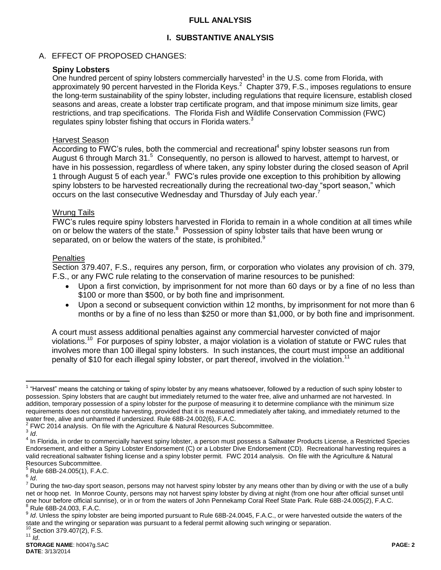## **FULL ANALYSIS**

## **I. SUBSTANTIVE ANALYSIS**

## A. EFFECT OF PROPOSED CHANGES:

## **Spiny Lobsters**

One hundred percent of spiny lobsters commercially harvested $<sup>1</sup>$  in the U.S. come from Florida, with</sup> approximately 90 percent harvested in the Florida Keys.<sup>2</sup> Chapter 379, F.S., imposes regulations to ensure the long-term sustainability of the spiny lobster, including regulations that require licensure, establish closed seasons and areas, create a lobster trap certificate program, and that impose minimum size limits, gear restrictions, and trap specifications. The Florida Fish and Wildlife Conservation Commission (FWC) regulates spiny lobster fishing that occurs in Florida waters.<sup>3</sup>

#### Harvest Season

 $\overline{\text{According to FWC}}$ 's rules, both the commercial and recreational<sup>4</sup> spiny lobster seasons run from August 6 through March 31.<sup>5</sup> Consequently, no person is allowed to harvest, attempt to harvest, or have in his possession, regardless of where taken, any spiny lobster during the closed season of April 1 through August 5 of each year. <sup>6</sup> FWC's rules provide one exception to this prohibition by allowing spiny lobsters to be harvested recreationally during the recreational two-day "sport season," which occurs on the last consecutive Wednesday and Thursday of July each year.<sup>7</sup>

#### Wrung Tails

FWC's rules require spiny lobsters harvested in Florida to remain in a whole condition at all times while on or below the waters of the state.<sup>8</sup> Possession of spiny lobster tails that have been wrung or separated, on or below the waters of the state, is prohibited.<sup>9</sup>

#### **Penalties**

Section 379.407, F.S., requires any person, firm, or corporation who violates any provision of ch. 379, F.S., or any FWC rule relating to the conservation of marine resources to be punished:

- Upon a first conviction, by imprisonment for not more than 60 days or by a fine of no less than \$100 or more than \$500, or by both fine and imprisonment.
- Upon a second or subsequent conviction within 12 months, by imprisonment for not more than 6 months or by a fine of no less than \$250 or more than \$1,000, or by both fine and imprisonment.

A court must assess additional penalties against any commercial harvester convicted of major violations.<sup>10</sup> For purposes of spiny lobster, a major violation is a violation of statute or FWC rules that involves more than 100 illegal spiny lobsters. In such instances, the court must impose an additional penalty of \$10 for each illegal spiny lobster, or part thereof, involved in the violation.<sup>11</sup>

Section 379.407(2), F.S. <sup>11</sup> *Id*.

 $\overline{a}$ <sup>1</sup> "Harvest" means the catching or taking of spiny lobster by any means whatsoever, followed by a reduction of such spiny lobster to possession. Spiny lobsters that are caught but immediately returned to the water free, alive and unharmed are not harvested. In addition, temporary possession of a spiny lobster for the purpose of measuring it to determine compliance with the minimum size requirements does not constitute harvesting, provided that it is measured immediately after taking, and immediately returned to the water free, alive and unharmed if undersized. Rule 68B-24.002(6), F.A.C.

 $2$  FWC 2014 analysis. On file with the Agriculture & Natural Resources Subcommittee.

<sup>3</sup> *Id*.

<sup>&</sup>lt;sup>4</sup> In Florida, in order to commercially harvest spiny lobster, a person must possess a Saltwater Products License, a Restricted Species Endorsement, and either a Spiny Lobster Endorsement (C) or a Lobster Dive Endorsement (CD). Recreational harvesting requires a valid recreational saltwater fishing license and a spiny lobster permit. FWC 2014 analysis. On file with the Agriculture & Natural Resources Subcommittee.

<sup>5</sup> Rule 68B-24.005(1), F.A.C.

<sup>6</sup> *Id*.

<sup>&</sup>lt;sup>7</sup> During the two-day sport season, persons may not harvest spiny lobster by any means other than by diving or with the use of a bully net or hoop net. In Monroe County, persons may not harvest spiny lobster by diving at night (from one hour after official sunset until one hour before official sunrise), or in or from the waters of John Pennekamp Coral Reef State Park. Rule 68B-24.005(2), F.A.C.  $8$  Rule 68B-24.003, F.A.C.

<sup>9</sup> *Id*. Unless the spiny lobster are being imported pursuant to Rule 68B-24.0045, F.A.C., or were harvested outside the waters of the state and the wringing or separation was pursuant to a federal permit allowing such wringing or separation.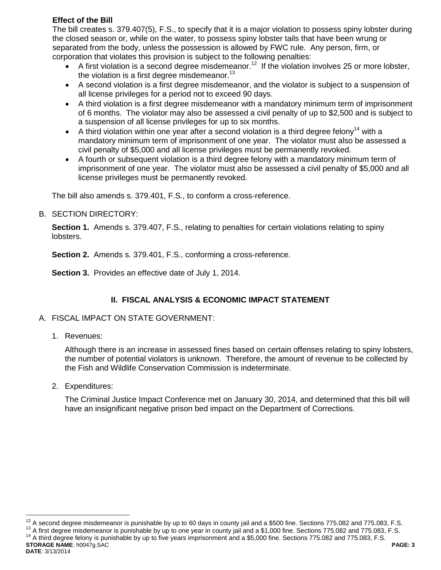## **Effect of the Bill**

The bill creates s. 379.407(5), F.S., to specify that it is a major violation to possess spiny lobster during the closed season or, while on the water, to possess spiny lobster tails that have been wrung or separated from the body, unless the possession is allowed by FWC rule. Any person, firm, or corporation that violates this provision is subject to the following penalties:

- A first violation is a second degree misdemeanor.<sup>12</sup> If the violation involves 25 or more lobster, the violation is a first degree misdemeanor. $13$
- A second violation is a first degree misdemeanor, and the violator is subject to a suspension of all license privileges for a period not to exceed 90 days.
- A third violation is a first degree misdemeanor with a mandatory minimum term of imprisonment of 6 months. The violator may also be assessed a civil penalty of up to \$2,500 and is subject to a suspension of all license privileges for up to six months.
- A third violation within one year after a second violation is a third degree felony<sup>14</sup> with a mandatory minimum term of imprisonment of one year. The violator must also be assessed a civil penalty of \$5,000 and all license privileges must be permanently revoked.
- A fourth or subsequent violation is a third degree felony with a mandatory minimum term of imprisonment of one year. The violator must also be assessed a civil penalty of \$5,000 and all license privileges must be permanently revoked.

The bill also amends s. 379.401, F.S., to conform a cross-reference.

B. SECTION DIRECTORY:

**Section 1.** Amends s. 379.407, F.S., relating to penalties for certain violations relating to spiny lobsters.

**Section 2.** Amends s. 379.401, F.S., conforming a cross-reference.

**Section 3.** Provides an effective date of July 1, 2014.

# **II. FISCAL ANALYSIS & ECONOMIC IMPACT STATEMENT**

- A. FISCAL IMPACT ON STATE GOVERNMENT:
	- 1. Revenues:

Although there is an increase in assessed fines based on certain offenses relating to spiny lobsters, the number of potential violators is unknown. Therefore, the amount of revenue to be collected by the Fish and Wildlife Conservation Commission is indeterminate.

2. Expenditures:

The Criminal Justice Impact Conference met on January 30, 2014, and determined that this bill will have an insignificant negative prison bed impact on the Department of Corrections.

<sup>13</sup> A first degree misdemeanor is punishable by up to one year in county jail and a \$1,000 fine. Sections 775.082 and 775.083, F.S. <sup>14</sup> A third degree felony is punishable by up to five years imprisonment and a \$5,000 fine. Sections 775.082 and 775.083, F.S.

**STORAGE NAME**: h0047g.SAC **PAGE: 3 DATE**: 3/13/2014

 $\overline{a}$  $12$  A second degree misdemeanor is punishable by up to 60 days in county jail and a \$500 fine. Sections 775.082 and 775.083, F.S.